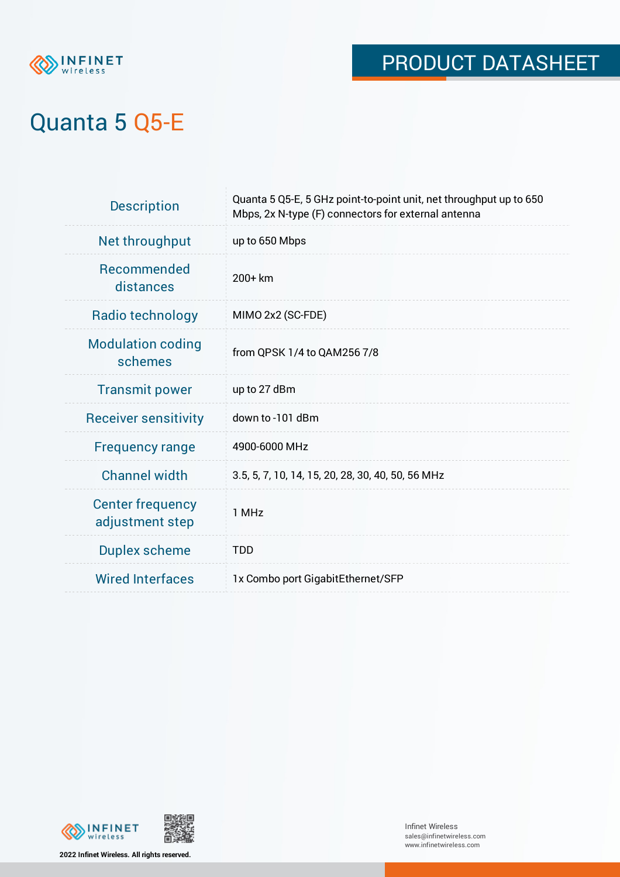

# Quanta 5 Q5-E

| <b>Description</b>                         | Quanta 5 Q5-E, 5 GHz point-to-point unit, net throughput up to 650<br>Mbps, 2x N-type (F) connectors for external antenna |
|--------------------------------------------|---------------------------------------------------------------------------------------------------------------------------|
| Net throughput                             | up to 650 Mbps                                                                                                            |
| <b>Recommended</b><br>distances            | 200+ km                                                                                                                   |
| Radio technology                           | MIMO 2x2 (SC-FDE)                                                                                                         |
| <b>Modulation coding</b><br>schemes        | from QPSK 1/4 to QAM256 7/8                                                                                               |
| <b>Transmit power</b>                      | up to 27 dBm                                                                                                              |
| <b>Receiver sensitivity</b>                | down to -101 dBm                                                                                                          |
| <b>Frequency range</b>                     | 4900-6000 MHz                                                                                                             |
| <b>Channel width</b>                       | 3.5, 5, 7, 10, 14, 15, 20, 28, 30, 40, 50, 56 MHz                                                                         |
| <b>Center frequency</b><br>adjustment step | 1 MHz                                                                                                                     |
| <b>Duplex scheme</b>                       | <b>TDD</b>                                                                                                                |
| <b>Wired Interfaces</b>                    | 1x Combo port GigabitEthernet/SFP                                                                                         |





**2022 Infinet Wireless. All rights reserved.**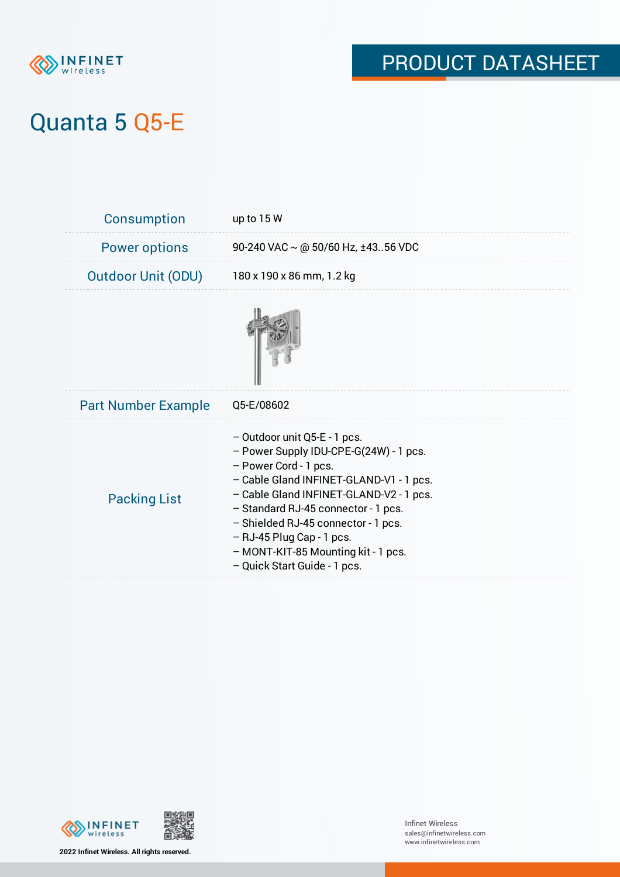

# Quanta 5 Q5-E

| <b>Consumption</b>         | up to $15W$                                                                                                                                                                                                                                                                                                                                                             |
|----------------------------|-------------------------------------------------------------------------------------------------------------------------------------------------------------------------------------------------------------------------------------------------------------------------------------------------------------------------------------------------------------------------|
| <b>Power options</b>       | 90-240 VAC $\sim$ @ 50/60 Hz, ±4356 VDC                                                                                                                                                                                                                                                                                                                                 |
| <b>Outdoor Unit (ODU)</b>  | 180 x 190 x 86 mm, 1.2 kg                                                                                                                                                                                                                                                                                                                                               |
|                            |                                                                                                                                                                                                                                                                                                                                                                         |
| <b>Part Number Example</b> | Q5-E/08602                                                                                                                                                                                                                                                                                                                                                              |
| <b>Packing List</b>        | - Outdoor unit Q5-E - 1 pcs.<br>- Power Supply IDU-CPE-G(24W) - 1 pcs.<br>- Power Cord - 1 pcs.<br>- Cable Gland INFINET-GLAND-V1 - 1 pcs.<br>- Cable Gland INFINET-GLAND-V2 - 1 pcs.<br>- Standard RJ-45 connector - 1 pcs.<br>- Shielded RJ-45 connector - 1 pcs.<br>- RJ-45 Plug Cap - 1 pcs.<br>- MONT-KIT-85 Mounting kit - 1 pcs.<br>- Quick Start Guide - 1 pcs. |



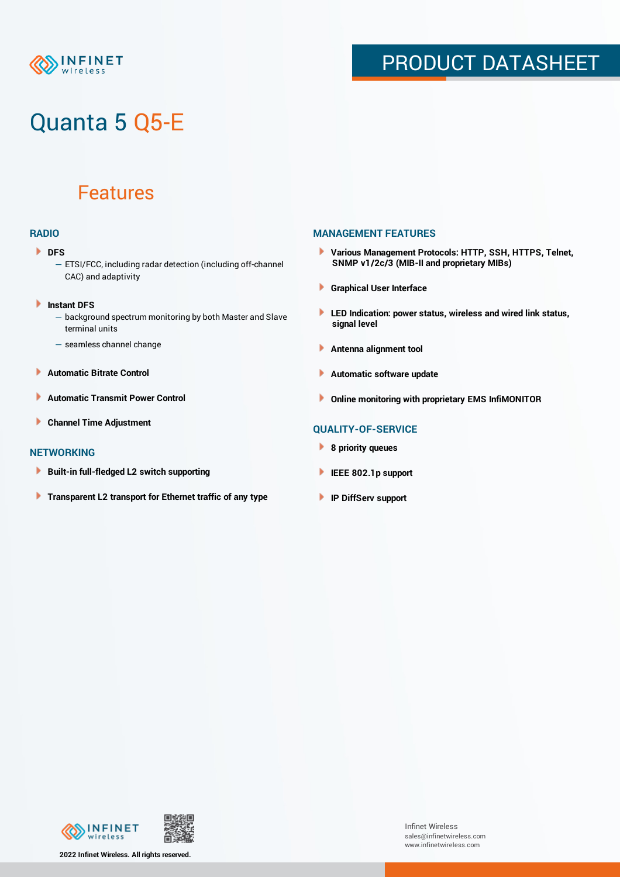

# Quanta 5 Q5-E

### Features

#### **RADIO**

- **DFS** 
	- ETSI/FCC, including radar detection (including off-channel CAC) and adaptivity
- Þ **Instant DFS**
	- background spectrum monitoring by both Master and Slave terminal units
	- seamless channel change
- **Automatic Bitrate Control** Þ
- Þ **Automatic Transmit Power Control**
- Þ **Channel Time Adjustment**

#### **NETWORKING**

- Þ **Built-in full-fledged L2 switch supporting**
- Þ **Transparent L2 transport for Ethernet traffic of any type**

#### **MANAGEMENT FEATURES**

- **Various Management Protocols: HTTP, SSH, HTTPS, Telnet, SNMP v1/2c/3 (MIB-II and proprietary MIBs)**
- **Graphical User Interface**
- **LED Indication: power status, wireless and wired link status, signal level**
- **Antenna alignment tool**
- ٠ **Automatic software update**
- **Online monitoring with proprietary EMS InfiMONITOR**

#### **QUALITY-OF-SERVICE**

- **8 priority queues**
- **IEEE 802.1p support**
- **IP DiffServ support**